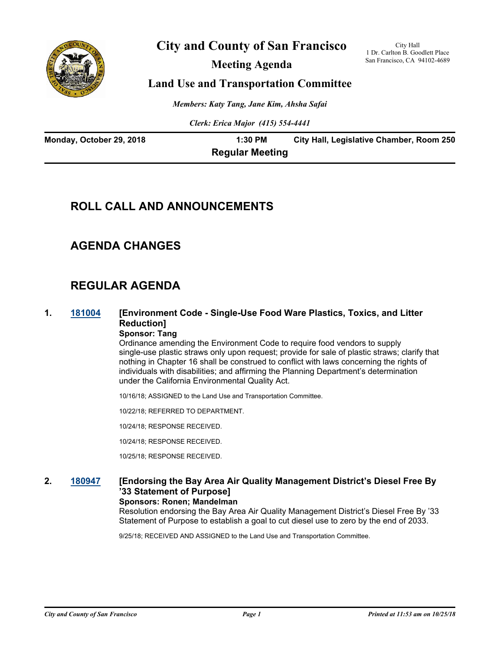

# **City and County of San Francisco**

**Meeting Agenda**

City Hall 1 Dr. Carlton B. Goodlett Place San Francisco, CA 94102-4689

### **Land Use and Transportation Committee**

*Members: Katy Tang, Jane Kim, Ahsha Safai*

*Clerk: Erica Major (415) 554-4441*

| Monday, October 29, 2018 | 1:30 PM                | City Hall, Legislative Chamber, Room 250 |
|--------------------------|------------------------|------------------------------------------|
|                          | <b>Regular Meeting</b> |                                          |

# **ROLL CALL AND ANNOUNCEMENTS**

# **AGENDA CHANGES**

# **REGULAR AGENDA**

#### **1. [181004](http://sfgov.legistar.com/gateway.aspx?m=l&id=33873) [Environment Code - Single-Use Food Ware Plastics, Toxics, and Litter Reduction] Sponsor: Tang**

Ordinance amending the Environment Code to require food vendors to supply single-use plastic straws only upon request; provide for sale of plastic straws; clarify that nothing in Chapter 16 shall be construed to conflict with laws concerning the rights of individuals with disabilities; and affirming the Planning Department's determination under the California Environmental Quality Act.

10/16/18; ASSIGNED to the Land Use and Transportation Committee.

10/22/18; REFERRED TO DEPARTMENT.

10/24/18; RESPONSE RECEIVED.

10/24/18; RESPONSE RECEIVED.

10/25/18; RESPONSE RECEIVED.

### **2. [180947](http://sfgov.legistar.com/gateway.aspx?m=l&id=33816) [Endorsing the Bay Area Air Quality Management District's Diesel Free By '33 Statement of Purpose]**

#### **Sponsors: Ronen; Mandelman**

Resolution endorsing the Bay Area Air Quality Management District's Diesel Free By '33 Statement of Purpose to establish a goal to cut diesel use to zero by the end of 2033.

9/25/18; RECEIVED AND ASSIGNED to the Land Use and Transportation Committee.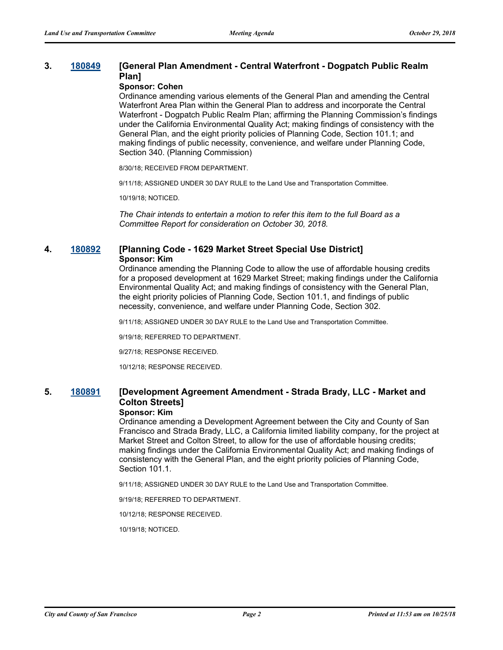#### **3. [180849](http://sfgov.legistar.com/gateway.aspx?m=l&id=33718) [General Plan Amendment - Central Waterfront - Dogpatch Public Realm Plan]**

#### **Sponsor: Cohen**

Ordinance amending various elements of the General Plan and amending the Central Waterfront Area Plan within the General Plan to address and incorporate the Central Waterfront - Dogpatch Public Realm Plan; affirming the Planning Commission's findings under the California Environmental Quality Act; making findings of consistency with the General Plan, and the eight priority policies of Planning Code, Section 101.1; and making findings of public necessity, convenience, and welfare under Planning Code, Section 340. (Planning Commission)

8/30/18; RECEIVED FROM DEPARTMENT.

9/11/18; ASSIGNED UNDER 30 DAY RULE to the Land Use and Transportation Committee.

10/19/18; NOTICED.

*The Chair intends to entertain a motion to refer this item to the full Board as a Committee Report for consideration on October 30, 2018.*

#### **4. [180892](http://sfgov.legistar.com/gateway.aspx?m=l&id=33761) [Planning Code - 1629 Market Street Special Use District] Sponsor: Kim**

Ordinance amending the Planning Code to allow the use of affordable housing credits for a proposed development at 1629 Market Street; making findings under the California Environmental Quality Act; and making findings of consistency with the General Plan, the eight priority policies of Planning Code, Section 101.1, and findings of public necessity, convenience, and welfare under Planning Code, Section 302.

9/11/18; ASSIGNED UNDER 30 DAY RULE to the Land Use and Transportation Committee.

9/19/18; REFERRED TO DEPARTMENT.

9/27/18; RESPONSE RECEIVED.

10/12/18; RESPONSE RECEIVED.

### **5. [180891](http://sfgov.legistar.com/gateway.aspx?m=l&id=33760) [Development Agreement Amendment - Strada Brady, LLC - Market and Colton Streets]**

#### **Sponsor: Kim**

Ordinance amending a Development Agreement between the City and County of San Francisco and Strada Brady, LLC, a California limited liability company, for the project at Market Street and Colton Street, to allow for the use of affordable housing credits; making findings under the California Environmental Quality Act; and making findings of consistency with the General Plan, and the eight priority policies of Planning Code, Section 101.1.

9/11/18; ASSIGNED UNDER 30 DAY RULE to the Land Use and Transportation Committee.

9/19/18; REFERRED TO DEPARTMENT.

10/12/18; RESPONSE RECEIVED.

10/19/18; NOTICED.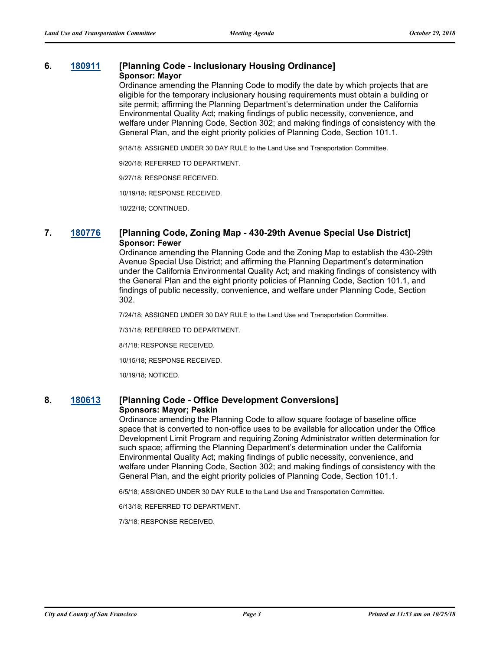### **6. [180911](http://sfgov.legistar.com/gateway.aspx?m=l&id=33780) [Planning Code - Inclusionary Housing Ordinance]**

#### **Sponsor: Mayor**

Ordinance amending the Planning Code to modify the date by which projects that are eligible for the temporary inclusionary housing requirements must obtain a building or site permit; affirming the Planning Department's determination under the California Environmental Quality Act; making findings of public necessity, convenience, and welfare under Planning Code, Section 302; and making findings of consistency with the General Plan, and the eight priority policies of Planning Code, Section 101.1.

9/18/18; ASSIGNED UNDER 30 DAY RULE to the Land Use and Transportation Committee.

9/20/18; REFERRED TO DEPARTMENT.

9/27/18; RESPONSE RECEIVED.

10/19/18; RESPONSE RECEIVED.

10/22/18; CONTINUED.

#### **7. [180776](http://sfgov.legistar.com/gateway.aspx?m=l&id=33645) [Planning Code, Zoning Map - 430-29th Avenue Special Use District] Sponsor: Fewer**

Ordinance amending the Planning Code and the Zoning Map to establish the 430-29th Avenue Special Use District; and affirming the Planning Department's determination under the California Environmental Quality Act; and making findings of consistency with the General Plan and the eight priority policies of Planning Code, Section 101.1, and findings of public necessity, convenience, and welfare under Planning Code, Section 302.

7/24/18; ASSIGNED UNDER 30 DAY RULE to the Land Use and Transportation Committee.

7/31/18; REFERRED TO DEPARTMENT.

8/1/18; RESPONSE RECEIVED.

10/15/18; RESPONSE RECEIVED.

10/19/18; NOTICED.

#### **8. [180613](http://sfgov.legistar.com/gateway.aspx?m=l&id=33482) [Planning Code - Office Development Conversions] Sponsors: Mayor; Peskin**

Ordinance amending the Planning Code to allow square footage of baseline office space that is converted to non-office uses to be available for allocation under the Office Development Limit Program and requiring Zoning Administrator written determination for such space; affirming the Planning Department's determination under the California Environmental Quality Act; making findings of public necessity, convenience, and welfare under Planning Code, Section 302; and making findings of consistency with the General Plan, and the eight priority policies of Planning Code, Section 101.1.

6/5/18; ASSIGNED UNDER 30 DAY RULE to the Land Use and Transportation Committee.

6/13/18; REFERRED TO DEPARTMENT.

7/3/18; RESPONSE RECEIVED.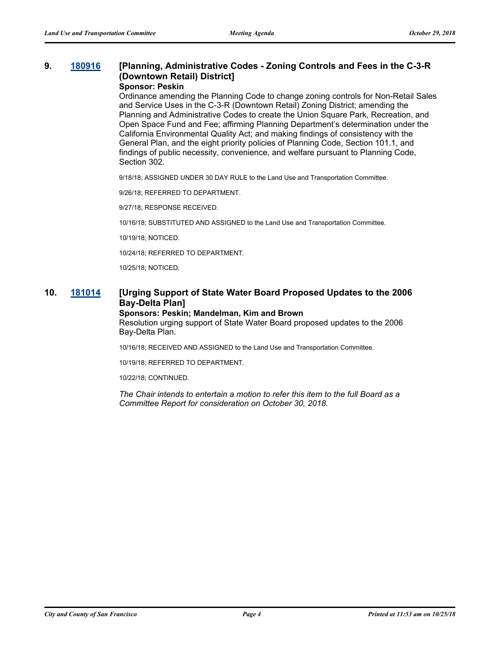# **9. [180916](http://sfgov.legistar.com/gateway.aspx?m=l&id=33785) [Planning, Administrative Codes - Zoning Controls and Fees in the C-3-R (Downtown Retail) District]**

### **Sponsor: Peskin**

Ordinance amending the Planning Code to change zoning controls for Non-Retail Sales and Service Uses in the C-3-R (Downtown Retail) Zoning District; amending the Planning and Administrative Codes to create the Union Square Park, Recreation, and Open Space Fund and Fee; affirming Planning Department's determination under the California Environmental Quality Act; and making findings of consistency with the General Plan, and the eight priority policies of Planning Code, Section 101.1, and findings of public necessity, convenience, and welfare pursuant to Planning Code, Section 302.

9/18/18; ASSIGNED UNDER 30 DAY RULE to the Land Use and Transportation Committee.

9/26/18; REFERRED TO DEPARTMENT.

9/27/18; RESPONSE RECEIVED.

10/16/18; SUBSTITUTED AND ASSIGNED to the Land Use and Transportation Committee.

10/19/18; NOTICED.

10/24/18; REFERRED TO DEPARTMENT.

10/25/18; NOTICED.

### **10. [181014](http://sfgov.legistar.com/gateway.aspx?m=l&id=33883) [Urging Support of State Water Board Proposed Updates to the 2006 Bay-Delta Plan]**

#### **Sponsors: Peskin; Mandelman, Kim and Brown**

Resolution urging support of State Water Board proposed updates to the 2006 Bay-Delta Plan.

10/16/18; RECEIVED AND ASSIGNED to the Land Use and Transportation Committee.

10/19/18; REFERRED TO DEPARTMENT.

10/22/18; CONTINUED.

*The Chair intends to entertain a motion to refer this item to the full Board as a Committee Report for consideration on October 30, 2018.*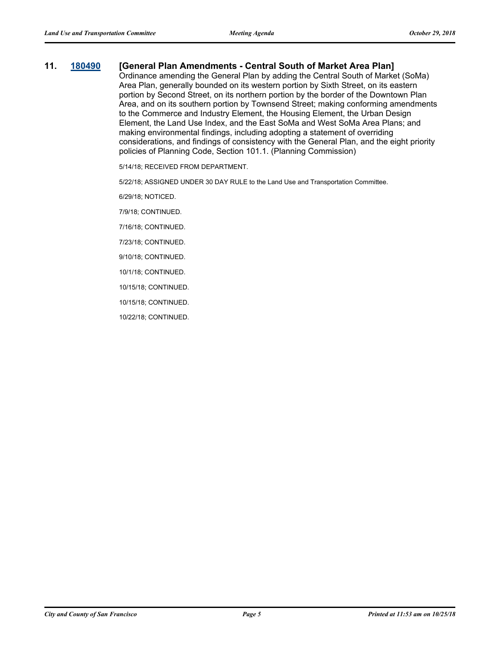#### **11. [180490](http://sfgov.legistar.com/gateway.aspx?m=l&id=33359) [General Plan Amendments - Central South of Market Area Plan]**

Ordinance amending the General Plan by adding the Central South of Market (SoMa) Area Plan, generally bounded on its western portion by Sixth Street, on its eastern portion by Second Street, on its northern portion by the border of the Downtown Plan Area, and on its southern portion by Townsend Street; making conforming amendments to the Commerce and Industry Element, the Housing Element, the Urban Design Element, the Land Use Index, and the East SoMa and West SoMa Area Plans; and making environmental findings, including adopting a statement of overriding considerations, and findings of consistency with the General Plan, and the eight priority policies of Planning Code, Section 101.1. (Planning Commission)

5/14/18; RECEIVED FROM DEPARTMENT.

5/22/18; ASSIGNED UNDER 30 DAY RULE to the Land Use and Transportation Committee.

6/29/18; NOTICED.

7/9/18; CONTINUED.

7/16/18; CONTINUED.

7/23/18; CONTINUED.

9/10/18; CONTINUED.

10/1/18; CONTINUED.

10/15/18; CONTINUED.

10/15/18; CONTINUED.

10/22/18; CONTINUED.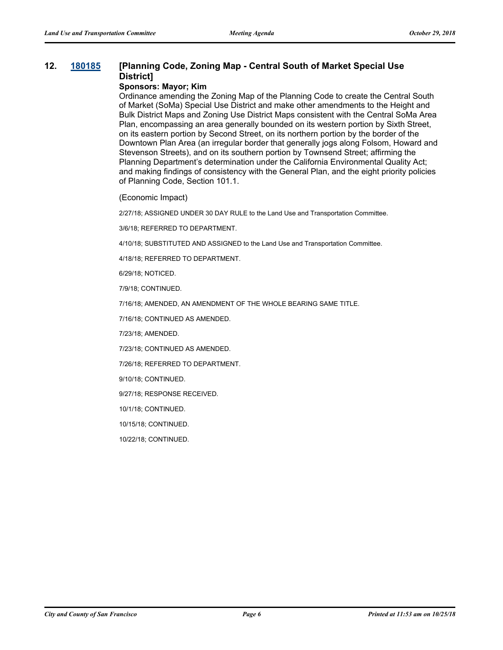#### **12. [180185](http://sfgov.legistar.com/gateway.aspx?m=l&id=33054) [Planning Code, Zoning Map - Central South of Market Special Use District]**

#### **Sponsors: Mayor; Kim**

Ordinance amending the Zoning Map of the Planning Code to create the Central South of Market (SoMa) Special Use District and make other amendments to the Height and Bulk District Maps and Zoning Use District Maps consistent with the Central SoMa Area Plan, encompassing an area generally bounded on its western portion by Sixth Street, on its eastern portion by Second Street, on its northern portion by the border of the Downtown Plan Area (an irregular border that generally jogs along Folsom, Howard and Stevenson Streets), and on its southern portion by Townsend Street; affirming the Planning Department's determination under the California Environmental Quality Act; and making findings of consistency with the General Plan, and the eight priority policies of Planning Code, Section 101.1.

(Economic Impact)

2/27/18; ASSIGNED UNDER 30 DAY RULE to the Land Use and Transportation Committee.

3/6/18; REFERRED TO DEPARTMENT.

4/10/18; SUBSTITUTED AND ASSIGNED to the Land Use and Transportation Committee.

4/18/18; REFERRED TO DEPARTMENT.

6/29/18; NOTICED.

7/9/18; CONTINUED.

7/16/18; AMENDED, AN AMENDMENT OF THE WHOLE BEARING SAME TITLE.

7/16/18; CONTINUED AS AMENDED.

7/23/18; AMENDED.

7/23/18; CONTINUED AS AMENDED.

7/26/18; REFERRED TO DEPARTMENT.

9/10/18; CONTINUED.

9/27/18; RESPONSE RECEIVED.

10/1/18; CONTINUED.

10/15/18; CONTINUED.

10/22/18; CONTINUED.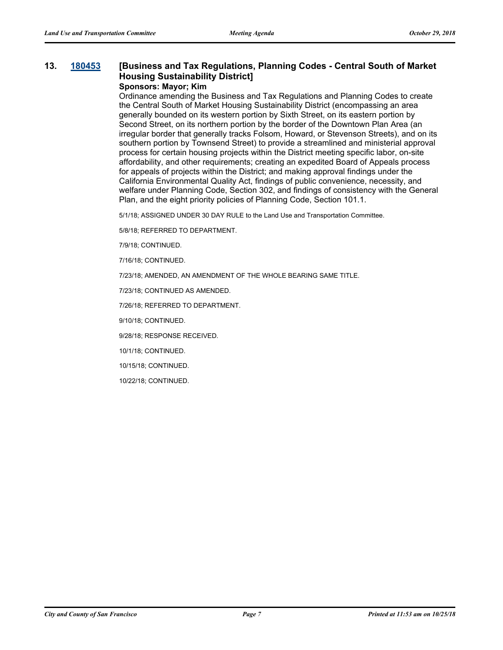# **13. [180453](http://sfgov.legistar.com/gateway.aspx?m=l&id=33322) [Business and Tax Regulations, Planning Codes - Central South of Market Housing Sustainability District]**

### **Sponsors: Mayor; Kim**

Ordinance amending the Business and Tax Regulations and Planning Codes to create the Central South of Market Housing Sustainability District (encompassing an area generally bounded on its western portion by Sixth Street, on its eastern portion by Second Street, on its northern portion by the border of the Downtown Plan Area (an irregular border that generally tracks Folsom, Howard, or Stevenson Streets), and on its southern portion by Townsend Street) to provide a streamlined and ministerial approval process for certain housing projects within the District meeting specific labor, on-site affordability, and other requirements; creating an expedited Board of Appeals process for appeals of projects within the District; and making approval findings under the California Environmental Quality Act, findings of public convenience, necessity, and welfare under Planning Code, Section 302, and findings of consistency with the General Plan, and the eight priority policies of Planning Code, Section 101.1.

5/1/18; ASSIGNED UNDER 30 DAY RULE to the Land Use and Transportation Committee.

5/8/18; REFERRED TO DEPARTMENT.

7/9/18; CONTINUED.

7/16/18; CONTINUED.

7/23/18; AMENDED, AN AMENDMENT OF THE WHOLE BEARING SAME TITLE.

7/23/18; CONTINUED AS AMENDED.

7/26/18; REFERRED TO DEPARTMENT.

9/10/18; CONTINUED.

9/28/18; RESPONSE RECEIVED.

10/1/18; CONTINUED.

10/15/18; CONTINUED.

10/22/18; CONTINUED.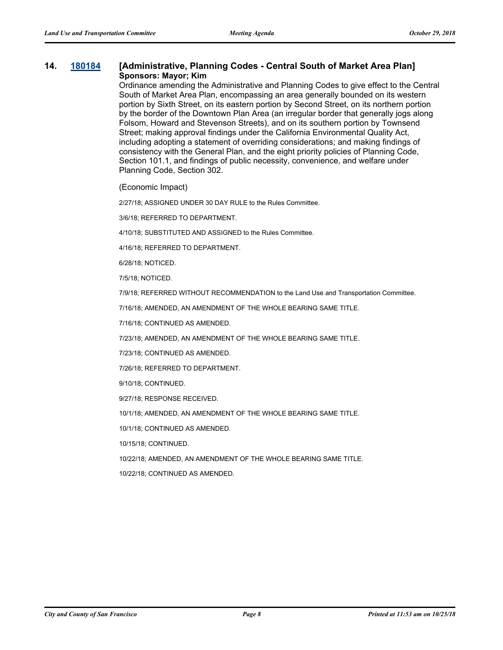#### **14. [180184](http://sfgov.legistar.com/gateway.aspx?m=l&id=33053) [Administrative, Planning Codes - Central South of Market Area Plan] Sponsors: Mayor; Kim**

Ordinance amending the Administrative and Planning Codes to give effect to the Central South of Market Area Plan, encompassing an area generally bounded on its western portion by Sixth Street, on its eastern portion by Second Street, on its northern portion by the border of the Downtown Plan Area (an irregular border that generally jogs along Folsom, Howard and Stevenson Streets), and on its southern portion by Townsend Street; making approval findings under the California Environmental Quality Act, including adopting a statement of overriding considerations; and making findings of consistency with the General Plan, and the eight priority policies of Planning Code, Section 101.1, and findings of public necessity, convenience, and welfare under Planning Code, Section 302.

(Economic Impact)

2/27/18; ASSIGNED UNDER 30 DAY RULE to the Rules Committee.

3/6/18; REFERRED TO DEPARTMENT.

4/10/18; SUBSTITUTED AND ASSIGNED to the Rules Committee.

4/16/18; REFERRED TO DEPARTMENT.

6/28/18; NOTICED.

7/5/18; NOTICED.

7/9/18; REFERRED WITHOUT RECOMMENDATION to the Land Use and Transportation Committee.

7/16/18; AMENDED, AN AMENDMENT OF THE WHOLE BEARING SAME TITLE.

7/16/18; CONTINUED AS AMENDED.

7/23/18; AMENDED, AN AMENDMENT OF THE WHOLE BEARING SAME TITLE.

7/23/18; CONTINUED AS AMENDED.

7/26/18; REFERRED TO DEPARTMENT.

9/10/18; CONTINUED.

9/27/18; RESPONSE RECEIVED.

10/1/18; AMENDED, AN AMENDMENT OF THE WHOLE BEARING SAME TITLE.

10/1/18; CONTINUED AS AMENDED.

10/15/18; CONTINUED.

10/22/18; AMENDED, AN AMENDMENT OF THE WHOLE BEARING SAME TITLE.

10/22/18; CONTINUED AS AMENDED.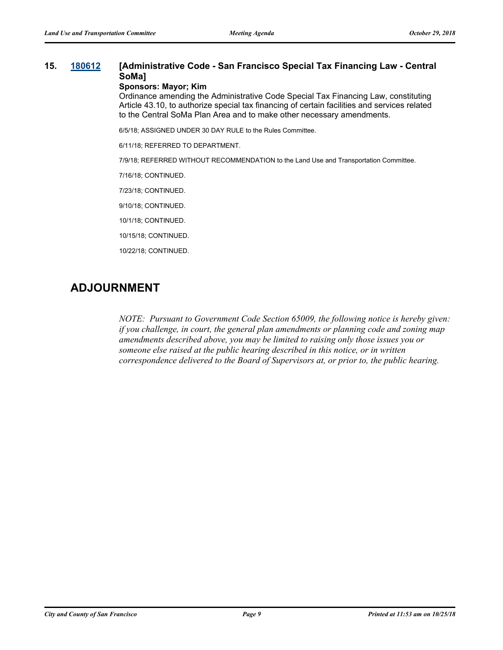#### **15. [180612](http://sfgov.legistar.com/gateway.aspx?m=l&id=33481) [Administrative Code - San Francisco Special Tax Financing Law - Central SoMa]**

#### **Sponsors: Mayor; Kim**

Ordinance amending the Administrative Code Special Tax Financing Law, constituting Article 43.10, to authorize special tax financing of certain facilities and services related to the Central SoMa Plan Area and to make other necessary amendments.

6/5/18; ASSIGNED UNDER 30 DAY RULE to the Rules Committee.

6/11/18; REFERRED TO DEPARTMENT.

7/9/18; REFERRED WITHOUT RECOMMENDATION to the Land Use and Transportation Committee.

7/16/18; CONTINUED.

7/23/18; CONTINUED.

9/10/18; CONTINUED.

10/1/18; CONTINUED.

10/15/18; CONTINUED.

10/22/18; CONTINUED.

# **ADJOURNMENT**

*NOTE: Pursuant to Government Code Section 65009, the following notice is hereby given: if you challenge, in court, the general plan amendments or planning code and zoning map amendments described above, you may be limited to raising only those issues you or someone else raised at the public hearing described in this notice, or in written correspondence delivered to the Board of Supervisors at, or prior to, the public hearing.*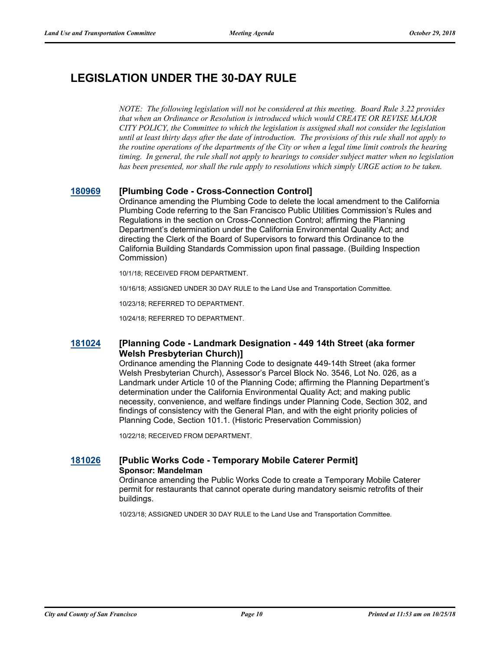# **LEGISLATION UNDER THE 30-DAY RULE**

*NOTE: The following legislation will not be considered at this meeting. Board Rule 3.22 provides that when an Ordinance or Resolution is introduced which would CREATE OR REVISE MAJOR CITY POLICY, the Committee to which the legislation is assigned shall not consider the legislation until at least thirty days after the date of introduction. The provisions of this rule shall not apply to the routine operations of the departments of the City or when a legal time limit controls the hearing timing. In general, the rule shall not apply to hearings to consider subject matter when no legislation has been presented, nor shall the rule apply to resolutions which simply URGE action to be taken.*

#### **[180969](http://sfgov.legistar.com/gateway.aspx?m=l&id=33838) [Plumbing Code - Cross-Connection Control]**

Ordinance amending the Plumbing Code to delete the local amendment to the California Plumbing Code referring to the San Francisco Public Utilities Commission's Rules and Regulations in the section on Cross-Connection Control; affirming the Planning Department's determination under the California Environmental Quality Act; and directing the Clerk of the Board of Supervisors to forward this Ordinance to the California Building Standards Commission upon final passage. (Building Inspection Commission)

10/1/18; RECEIVED FROM DEPARTMENT.

10/16/18; ASSIGNED UNDER 30 DAY RULE to the Land Use and Transportation Committee.

10/23/18; REFERRED TO DEPARTMENT.

10/24/18; REFERRED TO DEPARTMENT.

#### **[181024](http://sfgov.legistar.com/gateway.aspx?m=l&id=33893) [Planning Code - Landmark Designation - 449 14th Street (aka former Welsh Presbyterian Church)]**

Ordinance amending the Planning Code to designate 449-14th Street (aka former Welsh Presbyterian Church), Assessor's Parcel Block No. 3546, Lot No. 026, as a Landmark under Article 10 of the Planning Code; affirming the Planning Department's determination under the California Environmental Quality Act; and making public necessity, convenience, and welfare findings under Planning Code, Section 302, and findings of consistency with the General Plan, and with the eight priority policies of Planning Code, Section 101.1. (Historic Preservation Commission)

10/22/18; RECEIVED FROM DEPARTMENT.

#### **[181026](http://sfgov.legistar.com/gateway.aspx?m=l&id=33895) [Public Works Code - Temporary Mobile Caterer Permit] Sponsor: Mandelman**

Ordinance amending the Public Works Code to create a Temporary Mobile Caterer permit for restaurants that cannot operate during mandatory seismic retrofits of their buildings.

10/23/18; ASSIGNED UNDER 30 DAY RULE to the Land Use and Transportation Committee.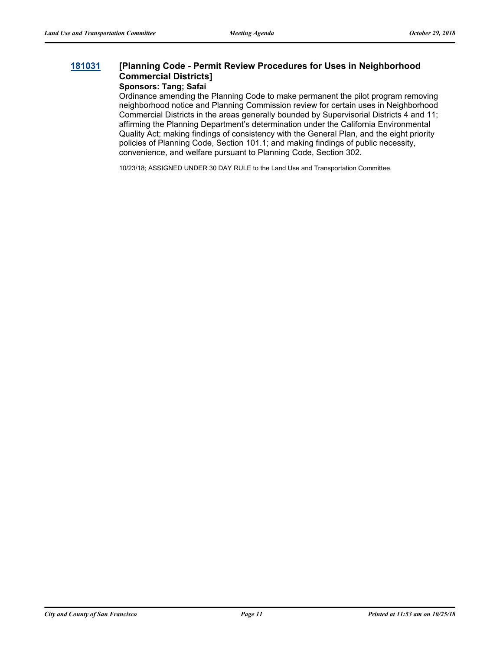#### **[181031](http://sfgov.legistar.com/gateway.aspx?m=l&id=33900) [Planning Code - Permit Review Procedures for Uses in Neighborhood Commercial Districts] Sponsors: Tang; Safai**

Ordinance amending the Planning Code to make permanent the pilot program removing neighborhood notice and Planning Commission review for certain uses in Neighborhood Commercial Districts in the areas generally bounded by Supervisorial Districts 4 and 11; affirming the Planning Department's determination under the California Environmental Quality Act; making findings of consistency with the General Plan, and the eight priority policies of Planning Code, Section 101.1; and making findings of public necessity, convenience, and welfare pursuant to Planning Code, Section 302.

10/23/18; ASSIGNED UNDER 30 DAY RULE to the Land Use and Transportation Committee.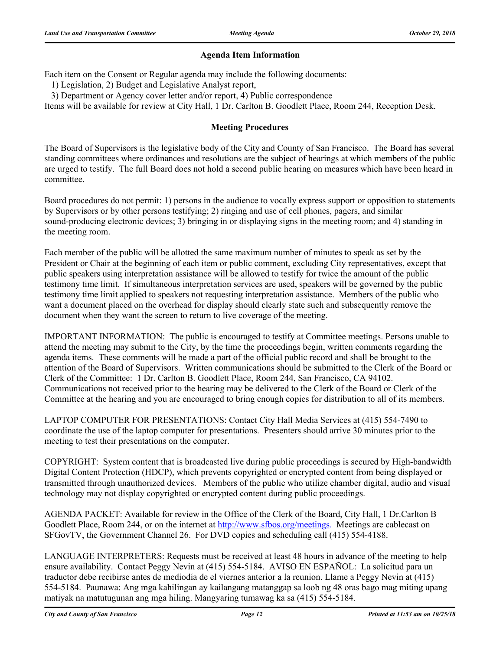#### **Agenda Item Information**

Each item on the Consent or Regular agenda may include the following documents:

1) Legislation, 2) Budget and Legislative Analyst report,

3) Department or Agency cover letter and/or report, 4) Public correspondence

Items will be available for review at City Hall, 1 Dr. Carlton B. Goodlett Place, Room 244, Reception Desk.

#### **Meeting Procedures**

The Board of Supervisors is the legislative body of the City and County of San Francisco. The Board has several standing committees where ordinances and resolutions are the subject of hearings at which members of the public are urged to testify. The full Board does not hold a second public hearing on measures which have been heard in committee.

Board procedures do not permit: 1) persons in the audience to vocally express support or opposition to statements by Supervisors or by other persons testifying; 2) ringing and use of cell phones, pagers, and similar sound-producing electronic devices; 3) bringing in or displaying signs in the meeting room; and 4) standing in the meeting room.

Each member of the public will be allotted the same maximum number of minutes to speak as set by the President or Chair at the beginning of each item or public comment, excluding City representatives, except that public speakers using interpretation assistance will be allowed to testify for twice the amount of the public testimony time limit. If simultaneous interpretation services are used, speakers will be governed by the public testimony time limit applied to speakers not requesting interpretation assistance. Members of the public who want a document placed on the overhead for display should clearly state such and subsequently remove the document when they want the screen to return to live coverage of the meeting.

IMPORTANT INFORMATION: The public is encouraged to testify at Committee meetings. Persons unable to attend the meeting may submit to the City, by the time the proceedings begin, written comments regarding the agenda items. These comments will be made a part of the official public record and shall be brought to the attention of the Board of Supervisors. Written communications should be submitted to the Clerk of the Board or Clerk of the Committee: 1 Dr. Carlton B. Goodlett Place, Room 244, San Francisco, CA 94102. Communications not received prior to the hearing may be delivered to the Clerk of the Board or Clerk of the Committee at the hearing and you are encouraged to bring enough copies for distribution to all of its members.

LAPTOP COMPUTER FOR PRESENTATIONS: Contact City Hall Media Services at (415) 554-7490 to coordinate the use of the laptop computer for presentations. Presenters should arrive 30 minutes prior to the meeting to test their presentations on the computer.

COPYRIGHT: System content that is broadcasted live during public proceedings is secured by High-bandwidth Digital Content Protection (HDCP), which prevents copyrighted or encrypted content from being displayed or transmitted through unauthorized devices. Members of the public who utilize chamber digital, audio and visual technology may not display copyrighted or encrypted content during public proceedings.

AGENDA PACKET: Available for review in the Office of the Clerk of the Board, City Hall, 1 Dr.Carlton B Goodlett Place, Room 244, or on the internet at http://www.sfbos.org/meetings. Meetings are cablecast on SFGovTV, the Government Channel 26. For DVD copies and scheduling call (415) 554-4188.

LANGUAGE INTERPRETERS: Requests must be received at least 48 hours in advance of the meeting to help ensure availability. Contact Peggy Nevin at (415) 554-5184. AVISO EN ESPAÑOL: La solicitud para un traductor debe recibirse antes de mediodía de el viernes anterior a la reunion. Llame a Peggy Nevin at (415) 554-5184. Paunawa: Ang mga kahilingan ay kailangang matanggap sa loob ng 48 oras bago mag miting upang matiyak na matutugunan ang mga hiling. Mangyaring tumawag ka sa (415) 554-5184.